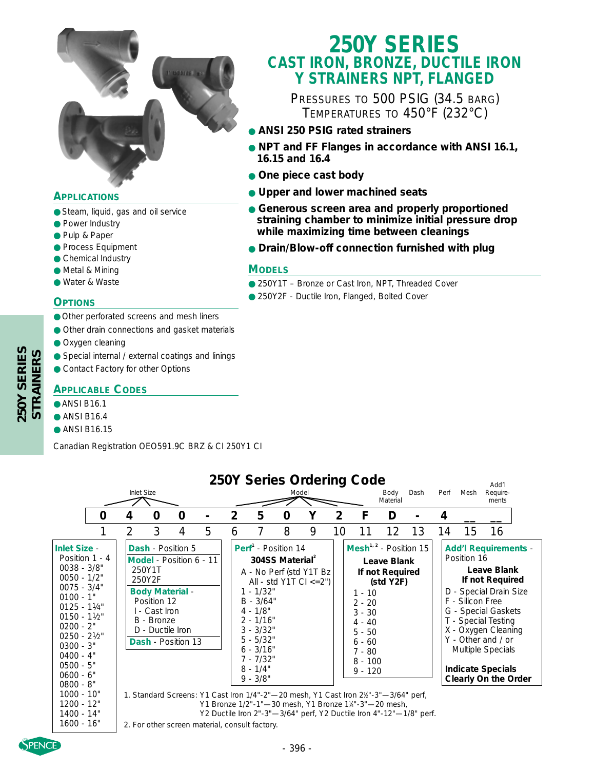

### **APPLICATIONS**

- Steam, liquid, gas and oil service
- Power Industry
- Pulp & Paper
- Process Equipment
- Chemical Industry
- Metal & Mining
- Water & Waste

#### **OPTIONS**

- Other perforated screens and mesh liners
- Other drain connections and gasket materials
- Oxygen cleaning
- Special internal / external coatings and linings
- Contact Factory for other Options

#### **APPLICABLE CODES**

#### ● ANSI B16.1

- $\bullet$  ANSI B16.4
- ANSI B16.15

Canadian Registration OEO591.9C BRZ & CI 250Y1 CI

# **250Y SERIES CAST IRON, BRONZE, DUCTILE IRON Y STRAINERS NPT, FLANGED**

PRESSURES TO 500 PSIG (34.5 BARG) TEMPERATURES TO 450°F (232°C)

- **ANSI 250 PSIG rated strainers**
- **NPT and FF Flanges in accordance with ANSI 16.1, 16.15 and 16.4**
- **One piece cast body**
- **Upper and lower machined seats**
- **Generous screen area and properly proportioned straining chamber to minimize initial pressure drop while maximizing time between cleanings**
- **Drain/Blow-off connection furnished with plug**

#### **MODELS**

- 250Y1T Bronze or Cast Iron, NPT, Threaded Cover
- 250Y2F Ductile Iron, Flanged, Bolted Cover

|                                                                                                                                                                                                                                                                                                                      | Inlet Size     |                                                                                    |                                                                                                                                                              |   |                |                                                                                                                                                                                    |                             | Model                                                       |                | 250Y Series Ordering Code                                                                                                                                                                                                                                                                                                                                                 | Body<br>Material                             | Dash | Perf | Mesh                            | Add'l<br>Require-<br>ments                                                                                                                                                                                                                                  |  |
|----------------------------------------------------------------------------------------------------------------------------------------------------------------------------------------------------------------------------------------------------------------------------------------------------------------------|----------------|------------------------------------------------------------------------------------|--------------------------------------------------------------------------------------------------------------------------------------------------------------|---|----------------|------------------------------------------------------------------------------------------------------------------------------------------------------------------------------------|-----------------------------|-------------------------------------------------------------|----------------|---------------------------------------------------------------------------------------------------------------------------------------------------------------------------------------------------------------------------------------------------------------------------------------------------------------------------------------------------------------------------|----------------------------------------------|------|------|---------------------------------|-------------------------------------------------------------------------------------------------------------------------------------------------------------------------------------------------------------------------------------------------------------|--|
| 0                                                                                                                                                                                                                                                                                                                    | 4              | 0                                                                                  | 0                                                                                                                                                            |   | $\overline{2}$ | 5                                                                                                                                                                                  | 0                           | Υ                                                           | $\overline{2}$ | F                                                                                                                                                                                                                                                                                                                                                                         | D                                            |      | 4    |                                 |                                                                                                                                                                                                                                                             |  |
|                                                                                                                                                                                                                                                                                                                      | $\overline{2}$ | 3                                                                                  | 4                                                                                                                                                            | 5 | 6              |                                                                                                                                                                                    | 8                           | 9                                                           | 10             | 11                                                                                                                                                                                                                                                                                                                                                                        | 12                                           | 13   | 14   | 15                              | 16                                                                                                                                                                                                                                                          |  |
| <b>Inlet Size -</b><br>Position 1 - 4<br>$0038 - 3/8"$<br>$0050 - 1/2"$<br>$0075 - 3/4"$<br>$0100 - 1"$<br>$0125 - 11/4$ "<br>$0150 - 11/2$ "<br>$0200 - 2"$<br>$0250 - 21/2$<br>$0300 - 3"$<br>$0400 - 4"$<br>$0500 - 5"$<br>$0600 - 6"$<br>$0800 - 8"$<br>$1000 - 10"$<br>$1200 - 12"$<br>1400 - 14"<br>1600 - 16" |                | 250Y1T<br>250Y2F<br>Position 12<br>I - Cast Iron<br>B - Bronze<br>D - Ductile Iron | <b>Dash</b> - Position 5<br>Model - Position 6 - 11<br><b>Body Material -</b><br><b>Dash</b> - Position 13<br>2. For other screen material, consult factory. |   |                | Perf <sup>1</sup> - Position 14<br>$1 - 1/32"$<br>$B - 3/64"$<br>$4 - 1/8"$<br>$2 - 1/16"$<br>$3 - 3/32"$<br>$5 - 5/32"$<br>$6 - 3/16"$<br>$7 - 7/32"$<br>$8 - 1/4"$<br>$9 - 3/8"$ | 304SS Material <sup>2</sup> | A - No Perf (std Y1T Bz)<br>All - std $Y1T$ Cl $\leq$ = 2") |                | Mesh <sup>1, 2</sup> - Position 15<br>$1 - 10$<br>$2 - 20$<br>$3 - 30$<br>$4 - 40$<br>$5 - 50$<br>$6 - 60$<br>$7 - 80$<br>$8 - 100$<br>$9 - 120$<br>1. Standard Screens: Y1 Cast Iron 1/4"-2"-20 mesh, Y1 Cast Iron 21/2"-3"-3/64" perf,<br>Y1 Bronze 1/2"-1"-30 mesh, Y1 Bronze 11/4"-3"-20 mesh,<br>Y2 Ductile Iron 2"-3"-3/64" perf, Y2 Ductile Iron 4"-12"-1/8" perf. | Leave Blank<br>If not Required<br>(stat Y2F) |      |      | Position 16<br>F - Silicon Free | <b>Add'l Requirements -</b><br>Leave Blank<br>If not Required<br>D - Special Drain Size<br>G - Special Gaskets<br>T - Special Testing<br>X - Oxygen Cleaning<br>Y - Other and / or<br>Multiple Specials<br><b>Indicate Specials</b><br>Clearly On the Order |  |

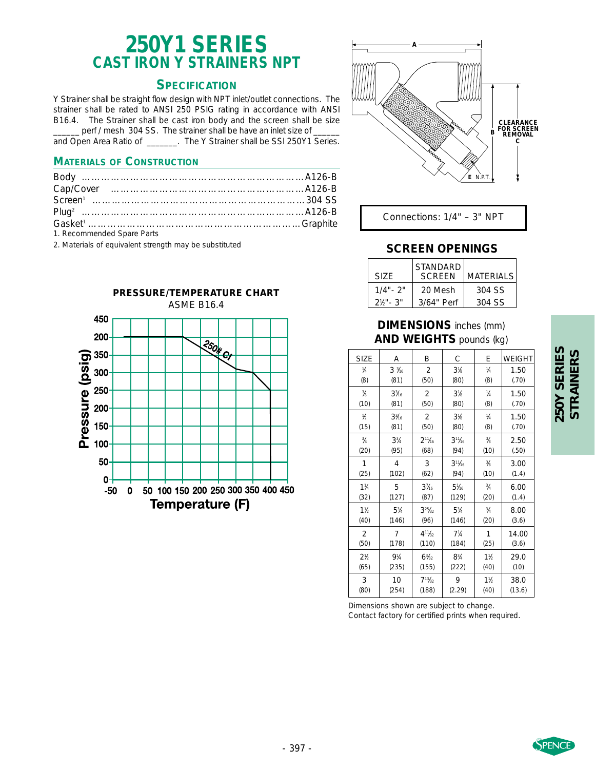# **250Y1 SERIES CAST IRON Y STRAINERS NPT**

# **SPECIFICATION**

Y Strainer shall be straight flow design with NPT inlet/outlet connections. The strainer shall be rated to ANSI 250 PSIG rating in accordance with ANSI B16.4. The Strainer shall be cast iron body and the screen shall be size \_perf / mesh 304 SS. The strainer shall be have an inlet size of

and Open Area Ratio of \_\_\_\_\_\_\_. The Y Strainer shall be SSI 250Y1 Series.

#### **MATERIALS OF CONSTRUCTION**

| 1. Recommended Spare Parts |  |
|----------------------------|--|

2. Materials of equivalent strength may be substituted





Connections: 1/4" – 3" NPT

### **SCREEN OPENINGS**

| SIZE.                 | <b>STANDARD</b><br><b>SCREEN</b> | <b>MATERIALS</b> |
|-----------------------|----------------------------------|------------------|
| $1/4" - 2"$           | 20 Mesh                          | 304 SS           |
| $2\frac{1}{2}$ " - 3" | 3/64" Perf                       | 304 SS           |

#### **DIMENSIONS** inches (mm) **AND WEIGHTS** pounds (kg)

| <b>SIZE</b>      | Α                             | Β                             | C                       | Е              | <b>WEIGHT</b> |
|------------------|-------------------------------|-------------------------------|-------------------------|----------------|---------------|
| $\frac{1}{4}$    | $3\frac{3}{16}$               | $\overline{2}$                | $3\%$                   | $\frac{1}{4}$  | 1.50          |
| (8)              | (81)                          | (50)                          | (80)                    | (8)            | (.70)         |
| $\frac{3}{6}$    | $3\frac{3}{16}$               | $\overline{2}$                | 3 <sub>k</sub>          | $\frac{1}{4}$  | 1.50          |
| (10)             | (81)                          | (50)                          | (80)                    | (8)            | (.70)         |
| $\frac{1}{2}$    | $3\frac{3}{16}$               | $\overline{2}$                | $3\%$                   | $\frac{1}{4}$  | 1.50          |
| (15)             | (81)                          | (50)                          | (80)                    | (8)            | (.70)         |
| $\frac{3}{4}$    | $3^{3}/4$                     | $2^{11}$ /16                  | $3^{11}$ / <sub>6</sub> | ℁              | 2.50          |
| (20)             | (95)                          | (68)                          | (94)                    | (10)           | (.50)         |
| 1                | 4                             | 3                             | $3^{11}$ / <sub>6</sub> | ℁              | 3.00          |
| (25)             | (102)                         | (62)                          | (94)                    | (10)           | (1.4)         |
| $1\frac{1}{4}$   | 5                             | $3\frac{7}{6}$                | $5\%$                   | $\frac{3}{4}$  | 6.00          |
| (32)             | (127)                         | (87)                          | (129)                   | (20)           | (1.4)         |
| $1\frac{1}{2}$   | 5 <sup>3</sup> / <sub>4</sub> | $3^{25}h_{2}$                 | $5\frac{3}{4}$          | $\frac{3}{4}$  | 8.00          |
| (40)             | (146)                         | (96)                          | (146)                   | (20)           | (3.6)         |
| 2                | 7                             | $4^{11}h_{2}$                 | $7\frac{1}{4}$          | 1              | 14.00         |
| (50)             | (178)                         | (110)                         | (184)                   | (25)           | (3.6)         |
| 2 <sup>1</sup> h | $9\frac{1}{4}$                | 6 <sup>3</sup> / <sub>2</sub> | $8^{3}/_{4}$            | $1\frac{1}{2}$ | 29.0          |
| (65)             | (235)                         | (155)                         | (222)                   | (40)           | (10)          |
| 3                | 10                            | $7^{13}$ / <sub>32</sub>      | 9                       | 1 <sup>1</sup> | 38.0          |
| (80)             | (254)                         | (188)                         | (2.29)                  | (40)           | (13.6)        |

Dimensions shown are subject to change. Contact factory for certified prints when required.

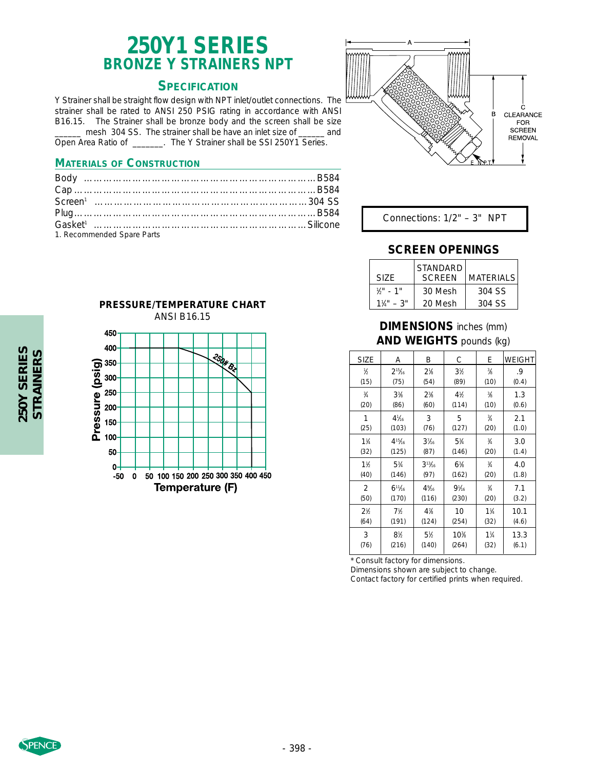# **250Y1 SERIES BRONZE Y STRAINERS NPT**

#### **SPECIFICATION**

Y Strainer shall be straight flow design with NPT inlet/outlet connections. The strainer shall be rated to ANSI 250 PSIG rating in accordance with ANSI B16.15. The Strainer shall be bronze body and the screen shall be size \_\_\_\_\_\_ mesh 304 SS. The strainer shall be have an inlet size of \_\_\_\_\_\_ and Open Area Ratio of \_\_\_\_\_\_\_. The Y Strainer shall be SSI 250Y1 Series.

#### **MATERIALS OF CONSTRUCTION**

| 1. Recommended Spare Parts |  |
|----------------------------|--|



Connections: 1/2" – 3" NPT

#### **SCREEN OPENINGS**

| SI7F         | l STANDARD.<br><b>SCREEN</b> | <b>MATFRIALS</b> |
|--------------|------------------------------|------------------|
| $1/2$ " - 1" | 30 Mesh                      | 304 SS           |
| $1\%$ " = 3" | 20 Mesh                      | 304 SS           |

#### **DIMENSIONS** inches (mm) **AND WEIGHTS** pounds (kg)

| <b>SIZE</b>                   | А                             | Β                        | С                              | E              | <b>WEIGHT</b> |
|-------------------------------|-------------------------------|--------------------------|--------------------------------|----------------|---------------|
| $\frac{1}{2}$                 | $2^{15}$ /16                  | $2^{1/3}$                | 3 <sup>1</sup>                 | $\frac{3}{8}$  | .9            |
| (15)                          | (75)                          | (54)                     | (89)                           | (10)           | (0.4)         |
| $\frac{3}{4}$                 | $3^{3}/_{8}$                  | $2^{3}/_{8}$             | 4 <sup>1</sup> / <sub>2</sub>  | $\frac{3}{8}$  | 1.3           |
| (20)                          | (86)                          | (60)                     | (114)                          | (10)           | (0.6)         |
| 1                             | $4\frac{1}{16}$               | 3                        | 5                              | $\frac{3}{4}$  | 2.1           |
| (25)                          | (103)                         | (76)                     | (127)                          | (20)           | (1.0)         |
| $1\frac{1}{4}$                | $4^{15}$ /16                  | $3\frac{7}{16}$          | $5\frac{3}{4}$                 | $\frac{3}{4}$  | 3.0           |
| (32)                          | (125)                         | (87)                     | (146)                          | (20)           | (1.4)         |
| $1\frac{1}{2}$                | $5\frac{3}{4}$                | $3^{13}$ / <sub>16</sub> | $6^{3}/_{8}$                   | $\frac{3}{4}$  | 4.0           |
| (40)                          | (146)                         | (97)                     | (162)                          | (20)           | (1.8)         |
| 2                             | $6^{11}/16$                   | $4\%$                    | 9 <sup>1</sup> / <sub>16</sub> | $\frac{3}{4}$  | 7.1           |
| (50)                          | (170)                         | (116)                    | (230)                          | (20)           | (3.2)         |
| 2 <sup>1</sup> / <sub>2</sub> | 7 <sup>1</sup> b              | $4\%$                    | 10                             | $1\frac{1}{4}$ | 10.1          |
| (64)                          | (191)                         | (124)                    | (254)                          | (32)           | (4.6)         |
| 3                             | 8 <sup>1</sup> / <sub>2</sub> | $5\%$                    | 10 <sup>3</sup>                | $1\frac{1}{4}$ | 13.3          |
| (76)                          | (216)                         | (140)                    | (264)                          | (32)           | (6.1)         |

\* Consult factory for dimensions.

Dimensions shown are subject to change.

Contact factory for certified prints when required.



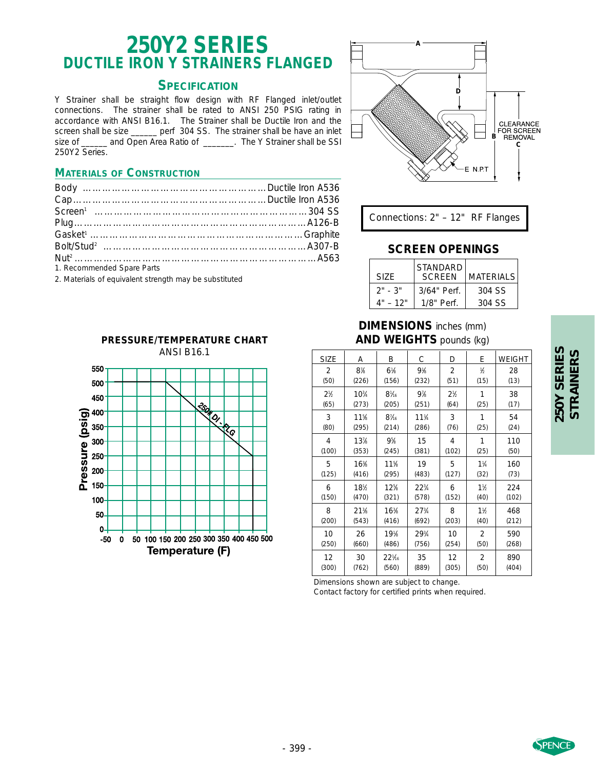# **250Y2 SERIES DUCTILE IRON Y STRAINERS FLANGED**

### **SPECIFICATION**

Y Strainer shall be straight flow design with RF Flanged inlet/outlet connections. The strainer shall be rated to ANSI 250 PSIG rating in accordance with ANSI B16.1. The Strainer shall be Ductile Iron and the screen shall be size \_\_\_\_\_\_ perf 304 SS. The strainer shall be have an inlet size of \_\_\_\_\_\_ and Open Area Ratio of \_\_\_\_\_\_. The Y Strainer shall be SSI 250Y2 Series.

### **MATERIALS OF CONSTRUCTION**

| 1. Recommended Spare Parts                             |  |
|--------------------------------------------------------|--|
| 2. Materials of equivalent strength may be substituted |  |

2. Materials of equivalent strength may be substituted





**A**

# **SCREEN OPENINGS**

**D**

**C**

CLEARANCE

**FOR SCREEN**<br>**B** REMOVAL

| SIZF.      | STANDARD<br><b>SCREEN</b> | <b>MATERIALS</b> |
|------------|---------------------------|------------------|
| $2" - 3"$  | 3/64" Perf.               | 304 SS           |
| $4" - 12"$ | $1/8"$ Perf.              | 304 SS           |

# **DIMENSIONS** inches (mm) **AND WEIGHTS** pounds (kg)

| <b>SIZE</b>      | Α          | Β               | С                              | D                             | Ε              | <b>WEIGHT</b> |
|------------------|------------|-----------------|--------------------------------|-------------------------------|----------------|---------------|
| $\overline{2}$   | $8\%$      | $6\%$           | $9\%$                          | $\overline{2}$                | $\frac{1}{2}$  | 28            |
| (50)             | (226)      | (156)           | (232)                          | (51)                          | (15)           | (13)          |
| 2 <sup>1</sup> h | $10^{3}/4$ | $8\frac{1}{16}$ | 9%                             | 2 <sup>1</sup> / <sub>2</sub> | 1              | 38            |
| (65)             | (273)      | (205)           | (251)                          | (64)                          | (25)           | (17)          |
| 3                | $11\%$     | $8\frac{7}{16}$ | $11\frac{1}{4}$                | 3                             | 1              | 54            |
| (80)             | (295)      | (214)           | (286)                          | (76)                          | (25)           | (24)          |
| 4                | 13%        | $9\%$           | 15                             | 4                             | 1              | 110           |
| (100)            | (353)      | (245)           | (381)                          | (102)                         | (25)           | (50)          |
| 5                | 16%        | 11%             | 19                             | 5                             | $1\frac{1}{4}$ | 160           |
| (125)            | (416)      | (295)           | (483)                          | (127)                         | (32)           | (73)          |
| 6                | 18%        | 12%             | $22^{3}/4$                     | 6                             | 1½             | 224           |
| (150)            | (470)      | (321)           | (578)                          | (152)                         | (40)           | (102)         |
| 8                | 21%        | 16%             | 27 <sup>3</sup> / <sub>4</sub> | 8                             | $1\frac{1}{2}$ | 468           |
| (200)            | (543)      | (416)           | (692)                          | (203)                         | (40)           | (212)         |
| 10               | 26         | 19%             | 29 <sup>3</sup> / <sub>4</sub> | 10                            | 2              | 590           |
| (250)            | (660)      | (486)           | (756)                          | (254)                         | (50)           | (268)         |
| 12               | 30         | $22\%$          | 35                             | 12                            | 2              | 890           |
| (300)            | (762)      | (560)           | (889)                          | (305)                         | (50)           | (404)         |

Dimensions shown are subject to change. Contact factory for certified prints when required.

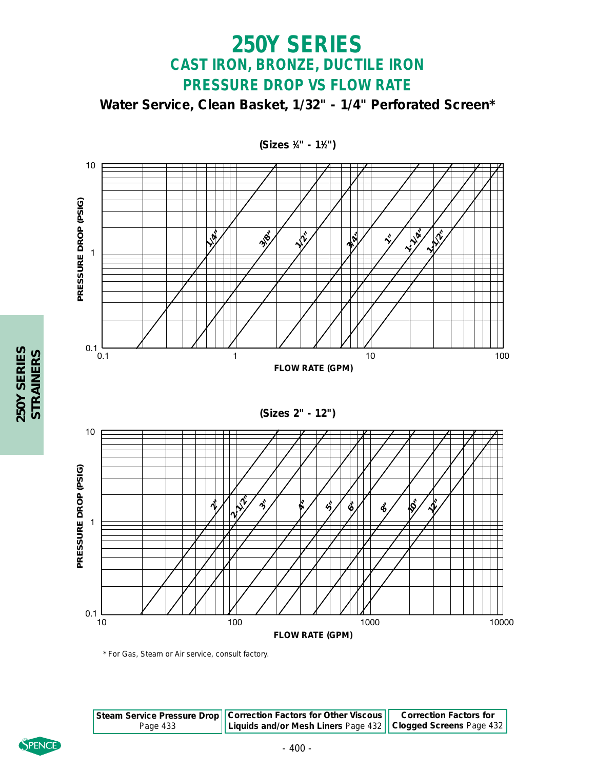

**250Y SERIES** 

\* For Gas, Steam or Air service, consult factory.

|          | Steam Service Pressure Drop   Correction Factors for Other Viscous   Correction Factors for |  |
|----------|---------------------------------------------------------------------------------------------|--|
| Page 433 | Liquids and/or Mesh Liners Page 432    Clogged Screens Page 432                             |  |



**250Y SERIES STRAINERS**

250Y SERIES<br>STRAINERS